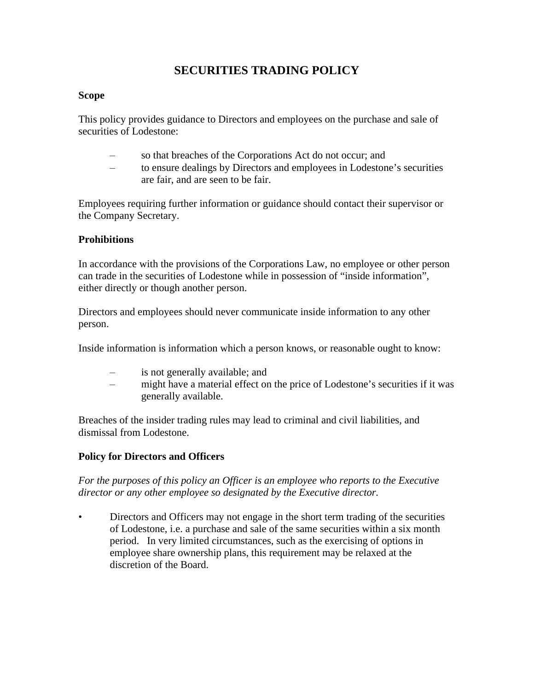# **SECURITIES TRADING POLICY**

#### **Scope**

This policy provides guidance to Directors and employees on the purchase and sale of securities of Lodestone:

- so that breaches of the Corporations Act do not occur; and
- to ensure dealings by Directors and employees in Lodestone's securities are fair, and are seen to be fair.

Employees requiring further information or guidance should contact their supervisor or the Company Secretary.

### **Prohibitions**

In accordance with the provisions of the Corporations Law, no employee or other person can trade in the securities of Lodestone while in possession of "inside information", either directly or though another person.

Directors and employees should never communicate inside information to any other person.

Inside information is information which a person knows, or reasonable ought to know:

- is not generally available; and
- might have a material effect on the price of Lodestone's securities if it was generally available.

Breaches of the insider trading rules may lead to criminal and civil liabilities, and dismissal from Lodestone.

### **Policy for Directors and Officers**

*For the purposes of this policy an Officer is an employee who reports to the Executive director or any other employee so designated by the Executive director.* 

• Directors and Officers may not engage in the short term trading of the securities of Lodestone, i.e. a purchase and sale of the same securities within a six month period. In very limited circumstances, such as the exercising of options in employee share ownership plans, this requirement may be relaxed at the discretion of the Board.